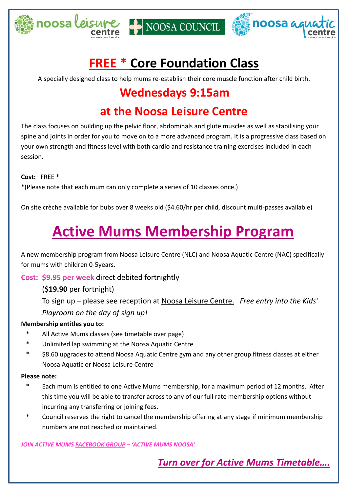





# **FREE \* Core Foundation Class**

A specially designed class to help mums re-establish their core muscle function after child birth.

# **Wednesdays 9:15am**

# **at the Noosa Leisure Centre**

The class focuses on building up the pelvic floor, abdominals and glute muscles as well as stabilising your spine and joints in order for you to move on to a more advanced program. It is a progressive class based on your own strength and fitness level with both cardio and resistance training exercises included in each session.

**Cost:** FREE \*

\*(Please note that each mum can only complete a series of 10 classes once.)

On site crèche available for bubs over 8 weeks old (\$4.60/hr per child, discount multi-passes available)

# **Active Mums Membership Program**

A new membership program from Noosa Leisure Centre (NLC) and Noosa Aquatic Centre (NAC) specifically for mums with children 0-5years.

Cost: \$9.95 per week direct debited fortnightly

(**\$19.90** per fortnight)

To sign up – please see reception at Noosa Leisure Centre. *Free entry into the Kids' Playroom on the day of sign up!*

#### **Membership entitles you to:**

- All Active Mums classes (see timetable over page)
- \* Unlimited lap swimming at the Noosa Aquatic Centre
- \$8.60 upgrades to attend Noosa Aquatic Centre gym and any other group fitness classes at either Noosa Aquatic or Noosa Leisure Centre

#### **Please note:**

- Each mum is entitled to one Active Mums membership, for a maximum period of 12 months. After this time you will be able to transfer across to any of our full rate membership options without incurring any transferring or joining fees.
- Council reserves the right to cancel the membership offering at any stage if minimum membership numbers are not reached or maintained.

*JOIN ACTIVE MUMS FACEBOOK GROUP – 'ACTIVE MUMS NOOSA'* 

**Turn over for Active Mums Timetable....**